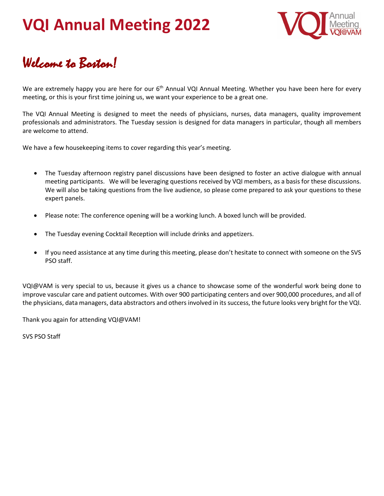

#### Welcome to Boston!

We are extremely happy you are here for our 6<sup>th</sup> Annual VQI Annual Meeting. Whether you have been here for every meeting, or this is your first time joining us, we want your experience to be a great one.

The VQI Annual Meeting is designed to meet the needs of physicians, nurses, data managers, quality improvement professionals and administrators. The Tuesday session is designed for data managers in particular, though all members are welcome to attend.

We have a few housekeeping items to cover regarding this year's meeting.

- The Tuesday afternoon registry panel discussions have been designed to foster an active dialogue with annual meeting participants. We will be leveraging questions received by VQI members, as a basis for these discussions. We will also be taking questions from the live audience, so please come prepared to ask your questions to these expert panels.
- Please note: The conference opening will be a working lunch. A boxed lunch will be provided.
- The Tuesday evening Cocktail Reception will include drinks and appetizers.
- If you need assistance at any time during this meeting, please don't hesitate to connect with someone on the SVS PSO staff.

VQI@VAM is very special to us, because it gives us a chance to showcase some of the wonderful work being done to improve vascular care and patient outcomes. With over 900 participating centers and over 900,000 procedures, and all of the physicians, data managers, data abstractors and others involved in its success, the future looks very bright for the VQI.

Thank you again for attending VQI@VAM!

SVS PSO Staff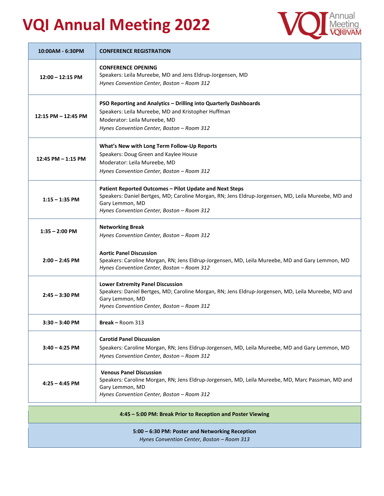

| 10:00AM - 6:30PM                                                                              | <b>CONFERENCE REGISTRATION</b>                                                                                                                                                                                                  |  |
|-----------------------------------------------------------------------------------------------|---------------------------------------------------------------------------------------------------------------------------------------------------------------------------------------------------------------------------------|--|
| $12:00 - 12:15$ PM                                                                            | <b>CONFERENCE OPENING</b><br>Speakers: Leila Mureebe, MD and Jens Eldrup-Jorgensen, MD<br>Hynes Convention Center, Boston - Room 312                                                                                            |  |
| $12:15$ PM $- 12:45$ PM                                                                       | PSO Reporting and Analytics - Drilling into Quarterly Dashboards<br>Speakers: Leila Mureebe, MD and Kristopher Huffman<br>Moderator: Leila Mureebe, MD<br>Hynes Convention Center, Boston - Room 312                            |  |
| 12:45 PM - 1:15 PM                                                                            | What's New with Long Term Follow-Up Reports<br>Speakers: Doug Green and Kaylee House<br>Moderator: Leila Mureebe, MD<br>Hynes Convention Center, Boston - Room 312                                                              |  |
| $1:15 - 1:35$ PM                                                                              | Patient Reported Outcomes - Pilot Update and Next Steps<br>Speakers: Daniel Bertges, MD; Caroline Morgan, RN; Jens Eldrup-Jorgensen, MD, Leila Mureebe, MD and<br>Gary Lemmon, MD<br>Hynes Convention Center, Boston - Room 312 |  |
| $1:35 - 2:00$ PM                                                                              | <b>Networking Break</b><br>Hynes Convention Center, Boston - Room 312                                                                                                                                                           |  |
| $2:00 - 2:45$ PM                                                                              | <b>Aortic Panel Discussion</b><br>Speakers: Caroline Morgan, RN; Jens Eldrup-Jorgensen, MD, Leila Mureebe, MD and Gary Lemmon, MD<br>Hynes Convention Center, Boston - Room 312                                                 |  |
| $2:45 - 3:30$ PM                                                                              | <b>Lower Extremity Panel Discussion</b><br>Speakers: Daniel Bertges, MD; Caroline Morgan, RN; Jens Eldrup-Jorgensen, MD, Leila Mureebe, MD and<br>Gary Lemmon, MD<br>Hynes Convention Center, Boston - Room 312                 |  |
| $3:30 - 3:40$ PM                                                                              | Break - Room 313                                                                                                                                                                                                                |  |
| $3:40 - 4:25$ PM                                                                              | <b>Carotid Panel Discussion</b><br>Speakers: Caroline Morgan, RN; Jens Eldrup-Jorgensen, MD, Leila Mureebe, MD and Gary Lemmon, MD<br>Hynes Convention Center, Boston - Room 312                                                |  |
| $4:25 - 4:45$ PM                                                                              | <b>Venous Panel Discussion</b><br>Speakers: Caroline Morgan, RN; Jens Eldrup-Jorgensen, MD, Leila Mureebe, MD, Marc Passman, MD and<br>Gary Lemmon, MD<br>Hynes Convention Center, Boston - Room 312                            |  |
| 4:45 - 5:00 PM: Break Prior to Reception and Poster Viewing                                   |                                                                                                                                                                                                                                 |  |
| 5:00 - 6:30 PM: Poster and Networking Reception<br>Hynes Convention Center, Boston - Room 313 |                                                                                                                                                                                                                                 |  |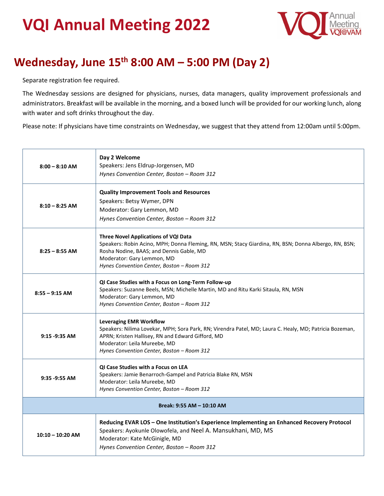

#### **Wednesday, June 15th 8:00 AM – 5:00 PM (Day 2)**

Separate registration fee required.

The Wednesday sessions are designed for physicians, nurses, data managers, quality improvement professionals and administrators. Breakfast will be available in the morning, and a boxed lunch will be provided for our working lunch, along with water and soft drinks throughout the day.

Please note: If physicians have time constraints on Wednesday, we suggest that they attend from 12:00am until 5:00pm.

| $8:00 - 8:10$ AM          | Day 2 Welcome<br>Speakers: Jens Eldrup-Jorgensen, MD<br>Hynes Convention Center, Boston - Room 312                                                                                                                                                                           |  |
|---------------------------|------------------------------------------------------------------------------------------------------------------------------------------------------------------------------------------------------------------------------------------------------------------------------|--|
| $8:10 - 8:25$ AM          | <b>Quality Improvement Tools and Resources</b><br>Speakers: Betsy Wymer, DPN<br>Moderator: Gary Lemmon, MD<br>Hynes Convention Center, Boston - Room 312                                                                                                                     |  |
| $8:25 - 8:55$ AM          | <b>Three Novel Applications of VQI Data</b><br>Speakers: Robin Acino, MPH; Donna Fleming, RN, MSN; Stacy Giardina, RN, BSN; Donna Albergo, RN, BSN;<br>Rosha Nodine, BAAS; and Dennis Gable, MD<br>Moderator: Gary Lemmon, MD<br>Hynes Convention Center, Boston - Room 312  |  |
| $8:55 - 9:15$ AM          | QI Case Studies with a Focus on Long-Term Follow-up<br>Speakers: Suzanne Beels, MSN; Michelle Martin, MD and Ritu Karki Sitaula, RN, MSN<br>Moderator: Gary Lemmon, MD<br>Hynes Convention Center, Boston - Room 312                                                         |  |
| $9:15 - 9:35$ AM          | <b>Leveraging EMR Workflow</b><br>Speakers: Nilima Lovekar, MPH; Sora Park, RN; Virendra Patel, MD; Laura C. Healy, MD; Patricia Bozeman,<br>APRN; Kristen Hallisey, RN and Edward Gifford, MD<br>Moderator: Leila Mureebe, MD<br>Hynes Convention Center, Boston - Room 312 |  |
| $9:35 - 9:55$ AM          | QI Case Studies with a Focus on LEA<br>Speakers: Jamie Benarroch-Gampel and Patricia Blake RN, MSN<br>Moderator: Leila Mureebe, MD<br>Hynes Convention Center, Boston - Room 312                                                                                             |  |
| Break: 9:55 AM - 10:10 AM |                                                                                                                                                                                                                                                                              |  |
| $10:10 - 10:20$ AM        | Reducing EVAR LOS - One Institution's Experience Implementing an Enhanced Recovery Protocol<br>Speakers: Ayokunle Olowofela, and Neel A. Mansukhani, MD, MS<br>Moderator: Kate McGinigle, MD<br>Hynes Convention Center, Boston - Room 312                                   |  |